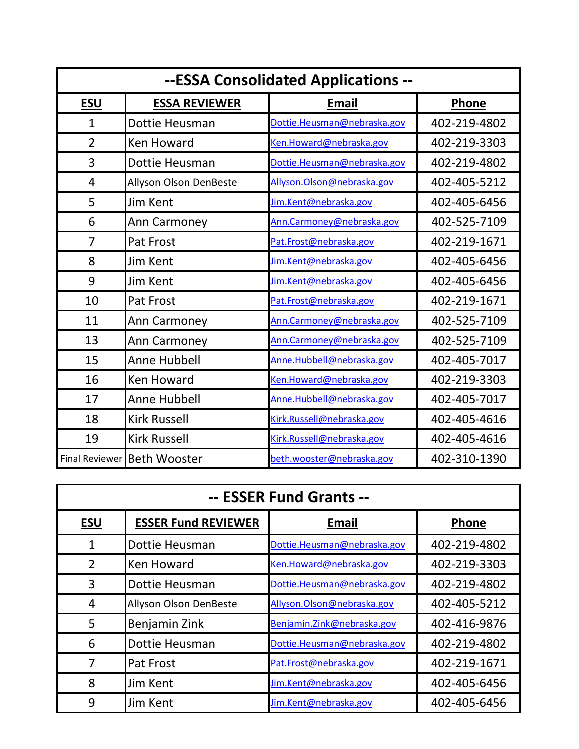| --ESSA Consolidated Applications -- |                             |                             |              |
|-------------------------------------|-----------------------------|-----------------------------|--------------|
| <b>ESU</b>                          | <b>ESSA REVIEWER</b>        | <b>Email</b>                | <b>Phone</b> |
| $\mathbf{1}$                        | Dottie Heusman              | Dottie.Heusman@nebraska.gov | 402-219-4802 |
| $\overline{2}$                      | <b>Ken Howard</b>           | Ken.Howard@nebraska.gov     | 402-219-3303 |
| 3                                   | Dottie Heusman              | Dottie.Heusman@nebraska.gov | 402-219-4802 |
| $\overline{4}$                      | Allyson Olson DenBeste      | Allyson. Olson@nebraska.gov | 402-405-5212 |
| 5                                   | <b>Jim Kent</b>             | Jim.Kent@nebraska.gov       | 402-405-6456 |
| 6                                   | Ann Carmoney                | Ann.Carmoney@nebraska.gov   | 402-525-7109 |
| 7                                   | Pat Frost                   | Pat.Frost@nebraska.gov      | 402-219-1671 |
| 8                                   | Jim Kent                    | Jim.Kent@nebraska.gov       | 402-405-6456 |
| 9                                   | Jim Kent                    | Jim.Kent@nebraska.gov       | 402-405-6456 |
| 10                                  | Pat Frost                   | Pat.Frost@nebraska.gov      | 402-219-1671 |
| 11                                  | Ann Carmoney                | Ann. Carmoney@nebraska.gov  | 402-525-7109 |
| 13                                  | Ann Carmoney                | Ann. Carmoney@nebraska.gov  | 402-525-7109 |
| 15                                  | <b>Anne Hubbell</b>         | Anne.Hubbell@nebraska.gov   | 402-405-7017 |
| 16                                  | <b>Ken Howard</b>           | Ken.Howard@nebraska.gov     | 402-219-3303 |
| 17                                  | <b>Anne Hubbell</b>         | Anne.Hubbell@nebraska.gov   | 402-405-7017 |
| 18                                  | <b>Kirk Russell</b>         | Kirk.Russell@nebraska.gov   | 402-405-4616 |
| 19                                  | <b>Kirk Russell</b>         | Kirk.Russell@nebraska.gov   | 402-405-4616 |
|                                     | Final Reviewer Beth Wooster | beth.wooster@nebraska.gov   | 402-310-1390 |

| -- ESSER Fund Grants -- |                            |                             |              |
|-------------------------|----------------------------|-----------------------------|--------------|
| <b>ESU</b>              | <b>ESSER Fund REVIEWER</b> | <b>Email</b>                | Phone        |
| 1                       | Dottie Heusman             | Dottie.Heusman@nebraska.gov | 402-219-4802 |
| $\overline{2}$          | Ken Howard                 | Ken.Howard@nebraska.gov     | 402-219-3303 |
| 3                       | Dottie Heusman             | Dottie.Heusman@nebraska.gov | 402-219-4802 |
| 4                       | Allyson Olson DenBeste     | Allyson. Olson@nebraska.gov | 402-405-5212 |
| 5                       | Benjamin Zink              | Benjamin.Zink@nebraska.gov  | 402-416-9876 |
| 6                       | Dottie Heusman             | Dottie.Heusman@nebraska.gov | 402-219-4802 |
|                         | <b>Pat Frost</b>           | Pat.Frost@nebraska.gov      | 402-219-1671 |
| 8                       | Jim Kent                   | Jim.Kent@nebraska.gov       | 402-405-6456 |
| 9                       | Jim Kent                   | Jim.Kent@nebraska.gov       | 402-405-6456 |